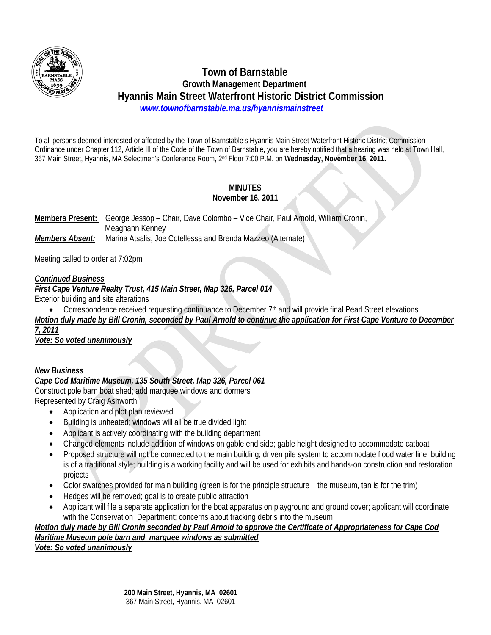

# **Town of Barnstable Growth Management Department Hyannis Main Street Waterfront Historic District Commission**   *www.townofbarnstable.ma.us/hyannismainstreet*

To all persons deemed interested or affected by the Town of Barnstable's Hyannis Main Street Waterfront Historic District Commission Ordinance under Chapter 112, Article III of the Code of the Town of Barnstable, you are hereby notified that a hearing was held at Town Hall, 367 Main Street, Hyannis, MA Selectmen's Conference Room, 2nd Floor 7:00 P.M. on **Wednesday, November 16, 2011.**

#### **MINUTES November 16, 2011**

**Members Present:** George Jessop – Chair, Dave Colombo – Vice Chair, Paul Arnold, William Cronin, Meaghann Kenney *Members Absent:* Marina Atsalis, Joe Cotellessa and Brenda Mazzeo (Alternate)

Meeting called to order at 7:02pm

## *Continued Business*

*First Cape Venture Realty Trust, 415 Main Street, Map 326, Parcel 014*  Exterior building and site alterations

• Correspondence received requesting continuance to December 7<sup>th</sup> and will provide final Pearl Street elevations *Motion duly made by Bill Cronin, seconded by Paul Arnold to continue the application for First Cape Venture to December 7, 2011*

*Vote: So voted unanimously*

# *New Business*

#### *Cape Cod Maritime Museum, 135 South Street, Map 326, Parcel 061*  Construct pole barn boat shed; add marquee windows and dormers Represented by Craig Ashworth

• Application and plot plan reviewed

- Building is unheated; windows will all be true divided light
- Applicant is actively coordinating with the building department
- Changed elements include addition of windows on gable end side; gable height designed to accommodate catboat
- Proposed structure will not be connected to the main building; driven pile system to accommodate flood water line; building is of a traditional style; building is a working facility and will be used for exhibits and hands-on construction and restoration projects
- Color swatches provided for main building (green is for the principle structure the museum, tan is for the trim)
- Hedges will be removed; goal is to create public attraction
- Applicant will file a separate application for the boat apparatus on playground and ground cover; applicant will coordinate with the Conservation Department; concerns about tracking debris into the museum

# *Motion duly made by Bill Cronin seconded by Paul Arnold to approve the Certificate of Appropriateness for Cape Cod Maritime Museum pole barn and marquee windows as submitted*

*Vote: So voted unanimously*